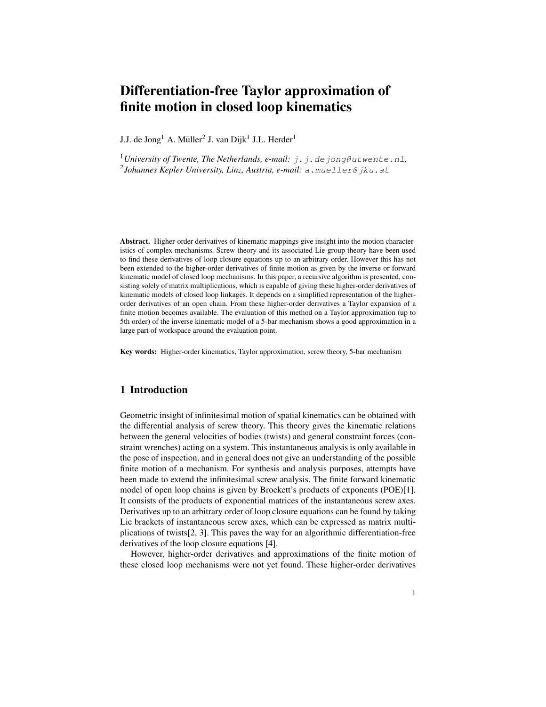# Differentiation-free Taylor approximation of finite motion in closed loop kinematics

J.J. de Jong<sup>1</sup> A. Müller<sup>2</sup> J. van Dijk<sup>1</sup> J.L. Herder<sup>1</sup>

<sup>1</sup>University of Twente, The Netherlands, e-mail:  $\vec{\tau}$ .  $\vec{\tau}$ . de  $\vec{\tau}$ ong@utwente.nl, 2 *Johannes Kepler University, Linz, Austria, e-mail:* <a.mueller@jku.at>

Abstract. Higher-order derivatives of kinematic mappings give insight into the motion characteristics of complex mechanisms. Screw theory and its associated Lie group theory have been used to find these derivatives of loop closure equations up to an arbitrary order. However this has not been extended to the higher-order derivatives of finite motion as given by the inverse or forward kinematic model of closed loop mechanisms. In this paper, a recursive algorithm is presented, consisting solely of matrix multiplications, which is capable of giving these higher-order derivatives of kinematic models of closed loop linkages. It depends on a simplified representation of the higherorder derivatives of an open chain. From these higher-order derivatives a Taylor expansion of a finite motion becomes available. The evaluation of this method on a Taylor approximation (up to 5th order) of the inverse kinematic model of a 5-bar mechanism shows a good approximation in a large part of workspace around the evaluation point.

Key words: Higher-order kinematics, Taylor approximation, screw theory, 5-bar mechanism

# 1 Introduction

Geometric insight of infinitesimal motion of spatial kinematics can be obtained with the differential analysis of screw theory. This theory gives the kinematic relations between the general velocities of bodies (twists) and general constraint forces (constraint wrenches) acting on a system. This instantaneous analysis is only available in the pose of inspection, and in general does not give an understanding of the possible finite motion of a mechanism. For synthesis and analysis purposes, attempts have been made to extend the infinitesimal screw analysis. The finite forward kinematic model of open loop chains is given by Brockett's products of exponents (POE)[\[1\]](#page-7-0). It consists of the products of exponential matrices of the instantaneous screw axes. Derivatives up to an arbitrary order of loop closure equations can be found by taking Lie brackets of instantaneous screw axes, which can be expressed as matrix multiplications of twists[\[2,](#page-7-1) [3\]](#page-7-2). This paves the way for an algorithmic differentiation-free derivatives of the loop closure equations [\[4\]](#page-7-3).

However, higher-order derivatives and approximations of the finite motion of these closed loop mechanisms were not yet found. These higher-order derivatives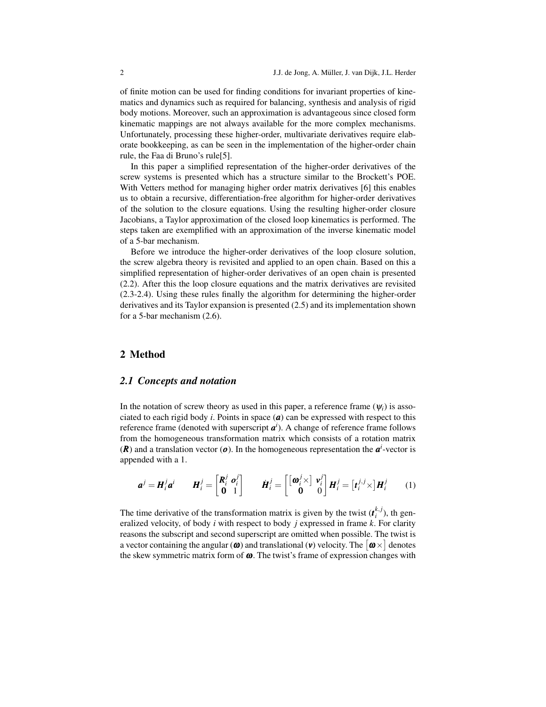of finite motion can be used for finding conditions for invariant properties of kinematics and dynamics such as required for balancing, synthesis and analysis of rigid body motions. Moreover, such an approximation is advantageous since closed form kinematic mappings are not always available for the more complex mechanisms. Unfortunately, processing these higher-order, multivariate derivatives require elaborate bookkeeping, as can be seen in the implementation of the higher-order chain rule, the Faa di Bruno's rule[\[5\]](#page-7-4).

In this paper a simplified representation of the higher-order derivatives of the screw systems is presented which has a structure similar to the Brockett's POE. With Vetters method for managing higher order matrix derivatives [\[6\]](#page-7-5) this enables us to obtain a recursive, differentiation-free algorithm for higher-order derivatives of the solution to the closure equations. Using the resulting higher-order closure Jacobians, a Taylor approximation of the closed loop kinematics is performed. The steps taken are exemplified with an approximation of the inverse kinematic model of a 5-bar mechanism.

Before we introduce the higher-order derivatives of the loop closure solution, the screw algebra theory is revisited and applied to an open chain. Based on this a simplified representation of higher-order derivatives of an open chain is presented [\(2.2\)](#page-2-0). After this the loop closure equations and the matrix derivatives are revisited [\(2.3-](#page-4-0)[2.4\)](#page-4-1). Using these rules finally the algorithm for determining the higher-order derivatives and its Taylor expansion is presented [\(2.5\)](#page-5-0) and its implementation shown for a 5-bar mechanism [\(2.6\)](#page-6-0).

# 2 Method

#### *2.1 Concepts and notation*

In the notation of screw theory as used in this paper, a reference frame  $(\psi_i)$  is associated to each rigid body *i*. Points in space  $(a)$  can be expressed with respect to this reference frame (denoted with superscript *a i* ). A change of reference frame follows from the homogeneous transformation matrix which consists of a rotation matrix  $(R)$  and a translation vector  $(o)$ . In the homogeneous representation the  $a^i$ -vector is appended with a 1.

$$
\boldsymbol{a}^j = \boldsymbol{H}_i^j \boldsymbol{a}^i \qquad \boldsymbol{H}_i^j = \begin{bmatrix} \boldsymbol{R}_i^j & \boldsymbol{o}_i^j \\ \mathbf{0} & 1 \end{bmatrix} \qquad \boldsymbol{H}_i^j = \begin{bmatrix} \begin{bmatrix} \boldsymbol{\omega}_i^j \times \end{bmatrix} \boldsymbol{v}_i^j \\ \mathbf{0} & 0 \end{bmatrix} \boldsymbol{H}_i^j = \begin{bmatrix} \boldsymbol{t}_i^j \times \end{bmatrix} \boldsymbol{H}_i^j \qquad (1)
$$

The time derivative of the transformation matrix is given by the twist  $(t_i^{k,j})$ , th generalized velocity, of body *i* with respect to body *j* expressed in frame *k*. For clarity reasons the subscript and second superscript are omitted when possible. The twist is a vector containing the angular ( $\omega$ ) and translational ( $\nu$ ) velocity. The  $\lceil \omega \times \rceil$  denotes the skew symmetric matrix form of  $\omega$ . The twist's frame of expression changes with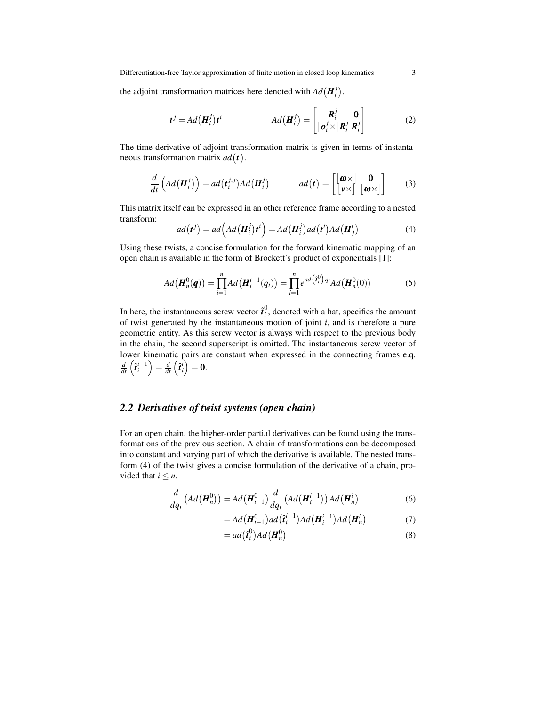Differentiation-free Taylor approximation of finite motion in closed loop kinematics 3

the adjoint transformation matrices here denoted with  $Ad(\mathbf{H}_i^j)$ .

$$
\boldsymbol{t}^{j} = Ad(\boldsymbol{H}_{i}^{j})\boldsymbol{t}^{i} \qquad \qquad Ad(\boldsymbol{H}_{i}^{j}) = \begin{bmatrix} \boldsymbol{R}_{i}^{j} & \boldsymbol{0} \\ \left[\boldsymbol{o}_{i}^{j} \times \right] \boldsymbol{R}_{i}^{j} & \boldsymbol{R}_{i}^{j} \end{bmatrix} \qquad (2)
$$

The time derivative of adjoint transformation matrix is given in terms of instantaneous transformation matrix *ad t* .

$$
\frac{d}{dt}\left(Ad\left(\mathbf{H}_{i}^{j}\right)\right) = ad\left(\mathbf{t}_{i}^{j,j}\right)Ad\left(\mathbf{H}_{i}^{j}\right) \qquad ad\left(\mathbf{t}\right) = \begin{bmatrix} \begin{bmatrix} \mathbf{\omega} \times \end{bmatrix} & \mathbf{0} \\ \begin{bmatrix} \mathbf{\omega} \times \end{bmatrix} & \begin{bmatrix} \mathbf{\omega} \times \end{bmatrix} \end{bmatrix} \qquad (3)
$$

This matrix itself can be expressed in an other reference frame according to a nested transform:

<span id="page-2-1"></span>
$$
ad(\boldsymbol{t}^j) = ad\Big(Ad(\boldsymbol{H}_i^j)\boldsymbol{t}^i\Big) = Ad(\boldsymbol{H}_i^j)ad(\boldsymbol{t}^i)Ad(\boldsymbol{H}_j^i)
$$
(4)

Using these twists, a concise formulation for the forward kinematic mapping of an open chain is available in the form of Brockett's product of exponentials [\[1\]](#page-7-0):

<span id="page-2-3"></span>
$$
Ad(\boldsymbol{H}_n^0(\boldsymbol{q})) = \prod_{i=1}^n Ad(\boldsymbol{H}_i^{i-1}(q_i)) = \prod_{i=1}^n e^{ad(\hat{\boldsymbol{t}}_i^0)q_i} Ad(\boldsymbol{H}_n^0(0))
$$
(5)

In here, the instantaneous screw vector  $\hat{\mathbf{t}}_i^0$ , denoted with a hat, specifies the amount of twist generated by the instantaneous motion of joint *i*, and is therefore a pure geometric entity. As this screw vector is always with respect to the previous body in the chain, the second superscript is omitted. The instantaneous screw vector of lower kinematic pairs are constant when expressed in the connecting frames e.q.  $\frac{d}{dt}\left(\hat{\bm{\mathit{t}}}^{i-1}_i\right)=\frac{d}{dt}\left(\hat{\bm{\mathit{t}}}^{i}_i\right)=\bm{0}.$ 

## <span id="page-2-0"></span>*2.2 Derivatives of twist systems (open chain)*

For an open chain, the higher-order partial derivatives can be found using the transformations of the previous section. A chain of transformations can be decomposed into constant and varying part of which the derivative is available. The nested transform [\(4\)](#page-2-1) of the twist gives a concise formulation of the derivative of a chain, provided that  $i \leq n$ .

$$
\frac{d}{dq_i}\left(\text{Ad}\left(\boldsymbol{H}_n^0\right)\right) = \text{Ad}\left(\boldsymbol{H}_{i-1}^0\right)\frac{d}{dq_i}\left(\text{Ad}\left(\boldsymbol{H}_i^{i-1}\right)\right)\text{Ad}\left(\boldsymbol{H}_n^i\right) \tag{6}
$$

$$
=Ad\big(\boldsymbol{H}_{i-1}^{0}\big)ad\big(\boldsymbol{\hat{t}}_{i}^{i-1}\big)Ad\big(\boldsymbol{H}_{i}^{i-1}\big)Ad\big(\boldsymbol{H}_{n}^{i}\big) \tag{7}
$$

<span id="page-2-2"></span>
$$
= ad\left(\hat{\boldsymbol{t}}_i^0\right) Ad\left(\boldsymbol{H}_n^0\right) \tag{8}
$$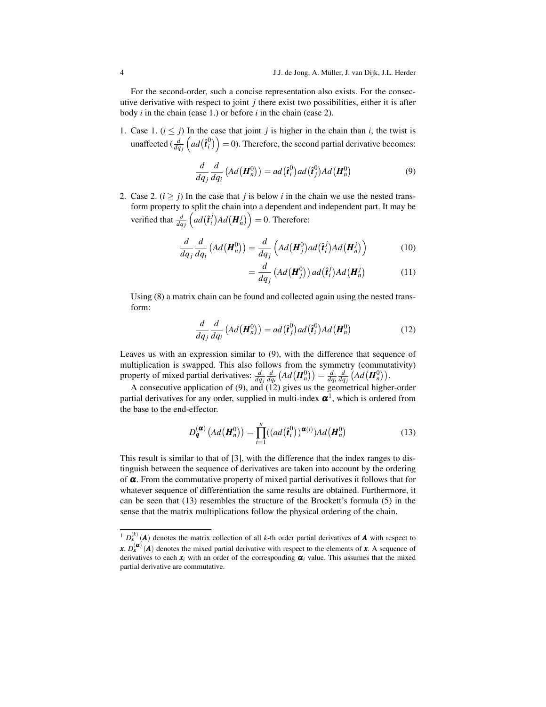For the second-order, such a concise representation also exists. For the consecutive derivative with respect to joint *j* there exist two possibilities, either it is after body *i* in the chain (case 1.) or before *i* in the chain (case 2).

1. Case 1.  $(i \leq j)$  In the case that joint *j* is higher in the chain than *i*, the twist is unaffected  $\left(\frac{d}{dq_j}\left(ad\left(\hat{t}_i^0\right)\right)=0\right)$ . Therefore, the second partial derivative becomes:

<span id="page-3-0"></span>
$$
\frac{d}{dq_j}\frac{d}{dq_i}\left(Ad\left(\boldsymbol{H}_n^0\right)\right) = ad\left(\hat{\boldsymbol{t}}_i^0\right) ad\left(\hat{\boldsymbol{t}}_j^0\right) Ad\left(\boldsymbol{H}_n^0\right) \tag{9}
$$

2. Case 2.  $(i \ge j)$  In the case that *j* is below *i* in the chain we use the nested transform property to split the chain into a dependent and independent part. It may be verified that  $\frac{d}{dq_j} \left( ad(\hat{\bm{t}}_i^j) Ad(\bm{H}_n^j) \right) = 0$ . Therefore:

$$
\frac{d}{dq_j}\frac{d}{dq_i}\left(Ad\left(\boldsymbol{H}_n^0\right)\right) = \frac{d}{dq_j}\left(Ad\left(\boldsymbol{H}_j^0\right)ad\left(\hat{\boldsymbol{t}}_i^j\right)Ad\left(\boldsymbol{H}_n^j\right)\right) \tag{10}
$$

<span id="page-3-1"></span>
$$
= \frac{d}{dq_j} \left( Ad\left(\boldsymbol{H}_j^0\right)\right) ad\left(\boldsymbol{\hat{t}}_i^j\right) Ad\left(\boldsymbol{H}_n^j\right) \tag{11}
$$

Using [\(8\)](#page-2-2) a matrix chain can be found and collected again using the nested transform:

$$
\frac{d}{dq_j}\frac{d}{dq_i}\left(Ad\left(\boldsymbol{H}_n^0\right)\right) = ad\left(\hat{\boldsymbol{t}}_j^0\right) ad\left(\hat{\boldsymbol{t}}_i^0\right) Ad\left(\boldsymbol{H}_n^0\right) \tag{12}
$$

Leaves us with an expression similar to [\(9\)](#page-3-0), with the difference that sequence of multiplication is swapped. This also follows from the symmetry (commutativity) property of mixed partial derivatives:  $\frac{d}{dq_i} \frac{d}{dq_i} (Ad(\mathbf{H}_n^0)) = \frac{d}{dq_i} \frac{d}{dq_j} (Ad(\mathbf{H}_n^0)).$ 

A consecutive application of [\(9\)](#page-3-0), and [\(12\)](#page-3-1) gives us the geometrical higher-order partial derivatives for any order, supplied in multi-index  $\pmb{\alpha}^1$  $\pmb{\alpha}^1$ , which is ordered from the base to the end-effector.

<span id="page-3-3"></span>
$$
D_{\boldsymbol{q}}^{(\boldsymbol{\alpha})}\left(Ad\left(\boldsymbol{H}_n^0\right)\right) = \prod_{i=1}^n \left((ad\left(\boldsymbol{\hat{t}}_i^0\right))^{\boldsymbol{\alpha}(i)}\right)Ad\left(\boldsymbol{H}_n^0\right) \tag{13}
$$

This result is similar to that of [\[3\]](#page-7-2), with the difference that the index ranges to distinguish between the sequence of derivatives are taken into account by the ordering of  $\alpha$ . From the commutative property of mixed partial derivatives it follows that for whatever sequence of differentiation the same results are obtained. Furthermore, it can be seen that [\(13\)](#page-3-3) resembles the structure of the Brockett's formula [\(5\)](#page-2-3) in the sense that the matrix multiplications follow the physical ordering of the chain.

<span id="page-3-2"></span><sup>&</sup>lt;sup>1</sup>  $D_{\mathbf{x}}^{(k)}$  (*A*) denotes the matrix collection of all *k*-th order partial derivatives of *A* with respect to *x*.  $D_{\bf x}^{({\bf a})}(A)$  denotes the mixed partial derivative with respect to the elements of *x*. A sequence of derivatives to each  $x_i$  with an order of the corresponding  $\alpha_i$  value. This assumes that the mixed partial derivative are commutative.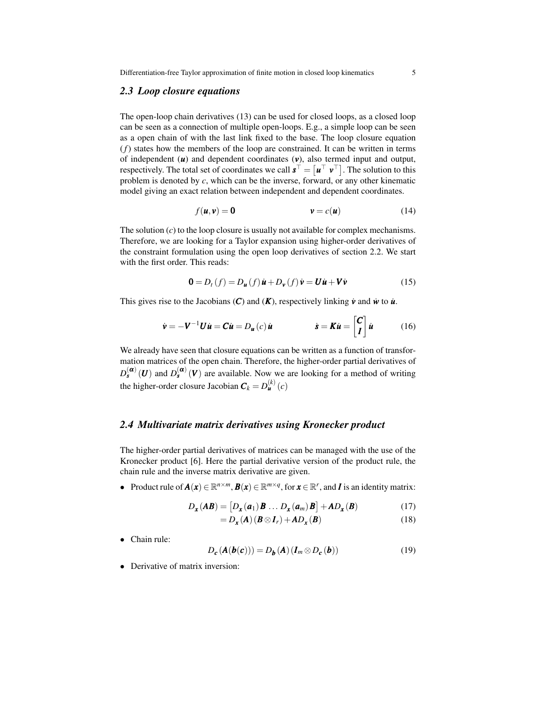Differentiation-free Taylor approximation of finite motion in closed loop kinematics 5

#### <span id="page-4-0"></span>*2.3 Loop closure equations*

The open-loop chain derivatives [\(13\)](#page-3-3) can be used for closed loops, as a closed loop can be seen as a connection of multiple open-loops. E.g., a simple loop can be seen as a open chain of with the last link fixed to the base. The loop closure equation (*f*) states how the members of the loop are constrained. It can be written in terms of independent  $(u)$  and dependent coordinates  $(v)$ , also termed input and output, respectively. The total set of coordinates we call  $\mathbf{s}^{\top} = [\mathbf{u}^{\top} \ \mathbf{v}^{\top}]$ . The solution to this problem is denoted by *c*, which can be the inverse, forward, or any other kinematic model giving an exact relation between independent and dependent coordinates.

$$
f(\mathbf{u}, \mathbf{v}) = \mathbf{0} \qquad \qquad \mathbf{v} = c(\mathbf{u}) \tag{14}
$$

The solution (*c*) to the loop closure is usually not available for complex mechanisms. Therefore, we are looking for a Taylor expansion using higher-order derivatives of the constraint formulation using the open loop derivatives of section [2.2.](#page-2-0) We start with the first order. This reads:

<span id="page-4-2"></span>
$$
\mathbf{0} = D_t(f) = D_{\mathbf{u}}(f) \dot{\mathbf{u}} + D_{\mathbf{v}}(f) \dot{\mathbf{v}} = \mathbf{U} \dot{\mathbf{u}} + \mathbf{V} \dot{\mathbf{v}} \tag{15}
$$

This gives rise to the Jacobians  $(C)$  and  $(K)$ , respectively linking  $\dot{v}$  and  $\dot{w}$  to  $\dot{u}$ .

$$
\dot{\mathbf{v}} = -\mathbf{V}^{-1}\mathbf{U}\dot{\mathbf{u}} = \mathbf{C}\dot{\mathbf{u}} = D_{\mathbf{u}}(c)\dot{\mathbf{u}} \qquad \dot{\mathbf{s}} = \mathbf{K}\dot{\mathbf{u}} = \begin{bmatrix} \mathbf{C} \\ \mathbf{I} \end{bmatrix} \dot{\mathbf{u}} \qquad (16)
$$

We already have seen that closure equations can be written as a function of transformation matrices of the open chain. Therefore, the higher-order partial derivatives of  $D_{s}^{(\alpha)}(U)$  and  $D_{s}^{(\alpha)}(V)$  are available. Now we are looking for a method of writing the higher-order closure Jacobian  $C_k = D_{\mathbf{u}}^{(k)}(c)$ 

## <span id="page-4-1"></span>*2.4 Multivariate matrix derivatives using Kronecker product*

The higher-order partial derivatives of matrices can be managed with the use of the Kronecker product [\[6\]](#page-7-5). Here the partial derivative version of the product rule, the chain rule and the inverse matrix derivative are given.

• Product rule of  $A(x) \in \mathbb{R}^{n \times m}$ ,  $B(x) \in \mathbb{R}^{m \times q}$ , for  $x \in \mathbb{R}^r$ , and *I* is an identity matrix:

$$
D_{\mathbf{x}}(A\mathbf{B}) = [D_{\mathbf{x}}(a_1)\mathbf{B} \dots D_{\mathbf{x}}(a_m)\mathbf{B}] + AD_{\mathbf{x}}(B)
$$
 (17)

$$
=D_{\mathbf{x}}(\mathbf{A})(\mathbf{B}\otimes\mathbf{I}_r)+\mathbf{A}D_{\mathbf{x}}(\mathbf{B})
$$
\n(18)

• Chain rule:

$$
D_{c}(\mathbf{A}(\boldsymbol{b}(\boldsymbol{c}))) = D_{\boldsymbol{b}}(\mathbf{A}) (\boldsymbol{I}_{m} \otimes D_{c}(\boldsymbol{b}))
$$
\n(19)

• Derivative of matrix inversion: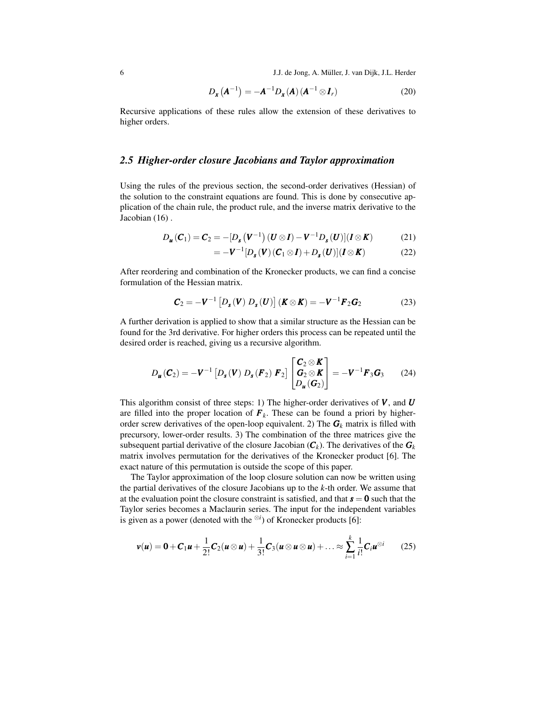6 J.J. de Jong, A. Muller, J. van Dijk, J.L. Herder ¨

$$
D_{\mathbf{x}}\left(\mathbf{A}^{-1}\right) = -\mathbf{A}^{-1}D_{\mathbf{x}}\left(\mathbf{A}\right)\left(\mathbf{A}^{-1}\otimes\mathbf{I}_r\right) \tag{20}
$$

Recursive applications of these rules allow the extension of these derivatives to higher orders.

## <span id="page-5-0"></span>*2.5 Higher-order closure Jacobians and Taylor approximation*

Using the rules of the previous section, the second-order derivatives (Hessian) of the solution to the constraint equations are found. This is done by consecutive application of the chain rule, the product rule, and the inverse matrix derivative to the Jacobian [\(16\)](#page-4-2) .

$$
D_{\boldsymbol{u}}(\boldsymbol{C}_1) = \boldsymbol{C}_2 = -[D_{\boldsymbol{s}}(\boldsymbol{V}^{-1})(\boldsymbol{U}\otimes\boldsymbol{I}) - \boldsymbol{V}^{-1}D_{\boldsymbol{s}}(\boldsymbol{U})](\boldsymbol{I}\otimes\boldsymbol{K})
$$
(21)

$$
= -\mathbf{V}^{-1}[D_{\mathbf{s}}(\mathbf{V})(\mathbf{C}_1 \otimes \mathbf{I}) + D_{\mathbf{s}}(\mathbf{U})](\mathbf{I} \otimes \mathbf{K})
$$
(22)

After reordering and combination of the Kronecker products, we can find a concise formulation of the Hessian matrix.

$$
\boldsymbol{C}_2 = -\boldsymbol{V}^{-1} \left[ D_s(\boldsymbol{V}) \ D_s(\boldsymbol{U}) \right] (\boldsymbol{K} \otimes \boldsymbol{K}) = -\boldsymbol{V}^{-1} \boldsymbol{F}_2 \boldsymbol{G}_2 \tag{23}
$$

A further derivation is applied to show that a similar structure as the Hessian can be found for the 3rd derivative. For higher orders this process can be repeated until the desired order is reached, giving us a recursive algorithm.

$$
D_{\boldsymbol{u}}(\boldsymbol{C}_2) = -\boldsymbol{V}^{-1} \left[ D_{\boldsymbol{s}}(\boldsymbol{V}) \ D_{\boldsymbol{s}}(\boldsymbol{F}_2) \ \boldsymbol{F}_2 \right] \begin{bmatrix} \boldsymbol{C}_2 \otimes \boldsymbol{K} \\ \boldsymbol{G}_2 \otimes \boldsymbol{K} \\ D_{\boldsymbol{u}}(\boldsymbol{G}_2) \end{bmatrix} = -\boldsymbol{V}^{-1} \boldsymbol{F}_3 \boldsymbol{G}_3 \qquad (24)
$$

This algorithm consist of three steps: 1) The higher-order derivatives of *V* , and *U* are filled into the proper location of  $\mathbf{F}_k$ . These can be found a priori by higherorder screw derivatives of the open-loop equivalent. 2) The  $G_k$  matrix is filled with precursory, lower-order results. 3) The combination of the three matrices give the subsequent partial derivative of the closure Jacobian  $(C_k)$ . The derivatives of the  $G_k$ matrix involves permutation for the derivatives of the Kronecker product [\[6\]](#page-7-5). The exact nature of this permutation is outside the scope of this paper.

The Taylor approximation of the loop closure solution can now be written using the partial derivatives of the closure Jacobians up to the *k*-th order. We assume that at the evaluation point the closure constraint is satisfied, and that  $s = 0$  such that the Taylor series becomes a Maclaurin series. The input for the independent variables is given as a power (denoted with the  $\frac{\otimes i}{i}$ ) of Kronecker products [\[6\]](#page-7-5):

$$
\boldsymbol{v}(\boldsymbol{u}) = \boldsymbol{0} + \boldsymbol{C}_1 \boldsymbol{u} + \frac{1}{2!} \boldsymbol{C}_2 (\boldsymbol{u} \otimes \boldsymbol{u}) + \frac{1}{3!} \boldsymbol{C}_3 (\boldsymbol{u} \otimes \boldsymbol{u} \otimes \boldsymbol{u}) + \ldots \approx \sum_{i=1}^k \frac{1}{i!} \boldsymbol{C}_i \boldsymbol{u}^{\otimes i} \qquad (25)
$$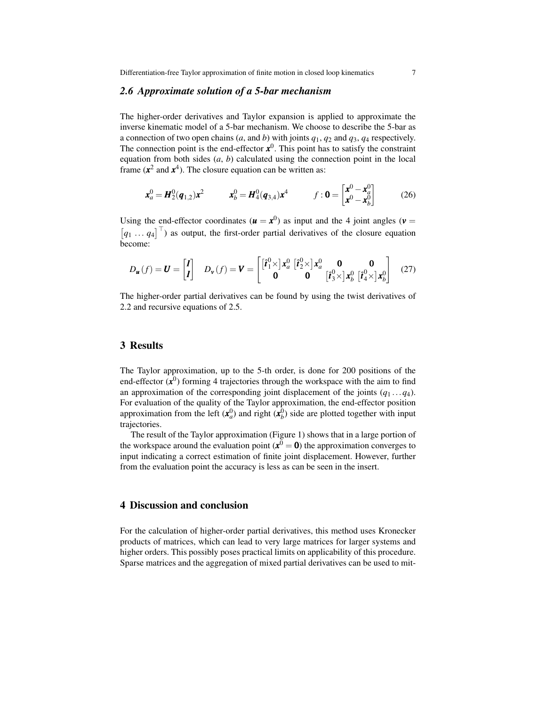## <span id="page-6-0"></span>*2.6 Approximate solution of a 5-bar mechanism*

The higher-order derivatives and Taylor expansion is applied to approximate the inverse kinematic model of a 5-bar mechanism. We choose to describe the 5-bar as a connection of two open chains (*a*, and *b*) with joints *q*1, *q*<sup>2</sup> and *q*3, *q*<sup>4</sup> respectively. The connection point is the end-effector  $x^0$ . This point has to satisfy the constraint equation from both sides  $(a, b)$  calculated using the connection point in the local frame  $(x^2 \text{ and } x^4)$ . The closure equation can be written as:

$$
\mathbf{x}_a^0 = \mathbf{H}_2^0(\mathbf{q}_{1,2})\mathbf{x}^2 \qquad \qquad \mathbf{x}_b^0 = \mathbf{H}_4^0(\mathbf{q}_{3,4})\mathbf{x}^4 \qquad \qquad f : \mathbf{0} = \begin{bmatrix} \mathbf{x}^0 - \mathbf{x}_a^0 \\ \mathbf{x}^0 - \mathbf{x}_b^0 \end{bmatrix} \tag{26}
$$

Using the end-effector coordinates ( $\mathbf{u} = \mathbf{x}^0$ ) as input and the 4 joint angles ( $\mathbf{v} =$  $[q_1 \dots q_4]^\top$  as output, the first-order partial derivatives of the closure equation become:

$$
D_{\boldsymbol{u}}(f) = \boldsymbol{U} = \begin{bmatrix} I \\ I \end{bmatrix} \quad D_{\boldsymbol{v}}(f) = \boldsymbol{V} = \begin{bmatrix} [\hat{\boldsymbol{t}}_1^0 \times] \boldsymbol{x}_a^0 \; [\hat{\boldsymbol{t}}_2^0 \times] \boldsymbol{x}_a^0 \; \mathbf{0} & \mathbf{0} \\ \mathbf{0} & \mathbf{0} & [\hat{\boldsymbol{t}}_3^0 \times] \boldsymbol{x}_b^0 \; [\hat{\boldsymbol{t}}_4^0 \times] \boldsymbol{x}_b^0 \end{bmatrix} \quad (27)
$$

The higher-order partial derivatives can be found by using the twist derivatives of [2.2](#page-2-0) and recursive equations of [2.5.](#page-5-0)

# 3 Results

The Taylor approximation, up to the 5-th order, is done for 200 positions of the end-effector  $(x^0)$  forming 4 trajectories through the workspace with the aim to find an approximation of the corresponding joint displacement of the joints  $(q_1 \ldots q_4)$ . For evaluation of the quality of the Taylor approximation, the end-effector position approximation from the left  $(x_a^0)$  and right  $(x_b^0)$  side are plotted together with input trajectories.

The result of the Taylor approximation [\(Figure 1\)](#page-7-6) shows that in a large portion of the workspace around the evaluation point  $(x^0 = 0)$  the approximation converges to input indicating a correct estimation of finite joint displacement. However, further from the evaluation point the accuracy is less as can be seen in the insert.

## 4 Discussion and conclusion

For the calculation of higher-order partial derivatives, this method uses Kronecker products of matrices, which can lead to very large matrices for larger systems and higher orders. This possibly poses practical limits on applicability of this procedure. Sparse matrices and the aggregation of mixed partial derivatives can be used to mit-